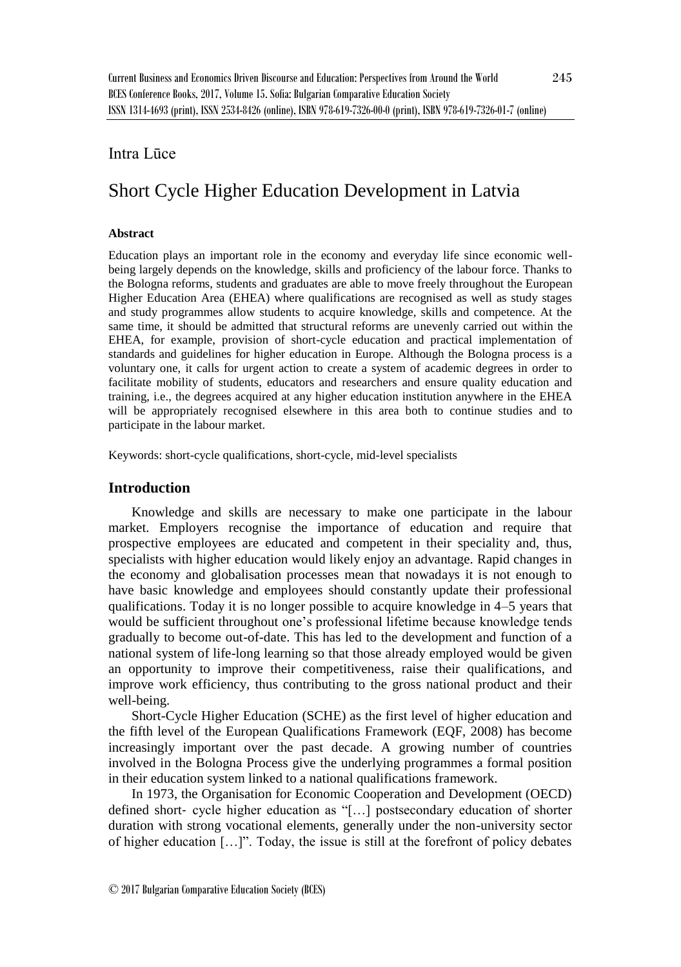## Intra Lūce

# Short Cycle Higher Education Development in Latvia

#### **Abstract**

Education plays an important role in the economy and everyday life since economic wellbeing largely depends on the knowledge, skills and proficiency of the labour force. Thanks to the Bologna reforms, students and graduates are able to move freely throughout the European Higher Education Area (EHEA) where qualifications are recognised as well as study stages and study programmes allow students to acquire knowledge, skills and competence. At the same time, it should be admitted that structural reforms are unevenly carried out within the EHEA, for example, provision of short-cycle education and practical implementation of standards and guidelines for higher education in Europe. Although the Bologna process is a voluntary one, it calls for urgent action to create a system of academic degrees in order to facilitate mobility of students, educators and researchers and ensure quality education and training, i.e., the degrees acquired at any higher education institution anywhere in the EHEA will be appropriately recognised elsewhere in this area both to continue studies and to participate in the labour market.

Keywords: short-cycle qualifications, short-cycle, mid-level specialists

## **Introduction**

Knowledge and skills are necessary to make one participate in the labour market. Employers recognise the importance of education and require that prospective employees are educated and competent in their speciality and, thus, specialists with higher education would likely enjoy an advantage. Rapid changes in the economy and globalisation processes mean that nowadays it is not enough to have basic knowledge and employees should constantly update their professional qualifications. Today it is no longer possible to acquire knowledge in 4–5 years that would be sufficient throughout one's professional lifetime because knowledge tends gradually to become out-of-date. This has led to the development and function of a national system of life-long learning so that those already employed would be given an opportunity to improve their competitiveness, raise their qualifications, and improve work efficiency, thus contributing to the gross national product and their well-being.

Short-Cycle Higher Education (SCHE) as the first level of higher education and the fifth level of the European Qualifications Framework (EQF, 2008) has become increasingly important over the past decade. A growing number of countries involved in the Bologna Process give the underlying programmes a formal position in their education system linked to a national qualifications framework.

In 1973, the Organisation for Economic Cooperation and Development (OECD) defined short‐ cycle higher education as "[…] postsecondary education of shorter duration with strong vocational elements, generally under the non-university sector of higher education […]". Today, the issue is still at the forefront of policy debates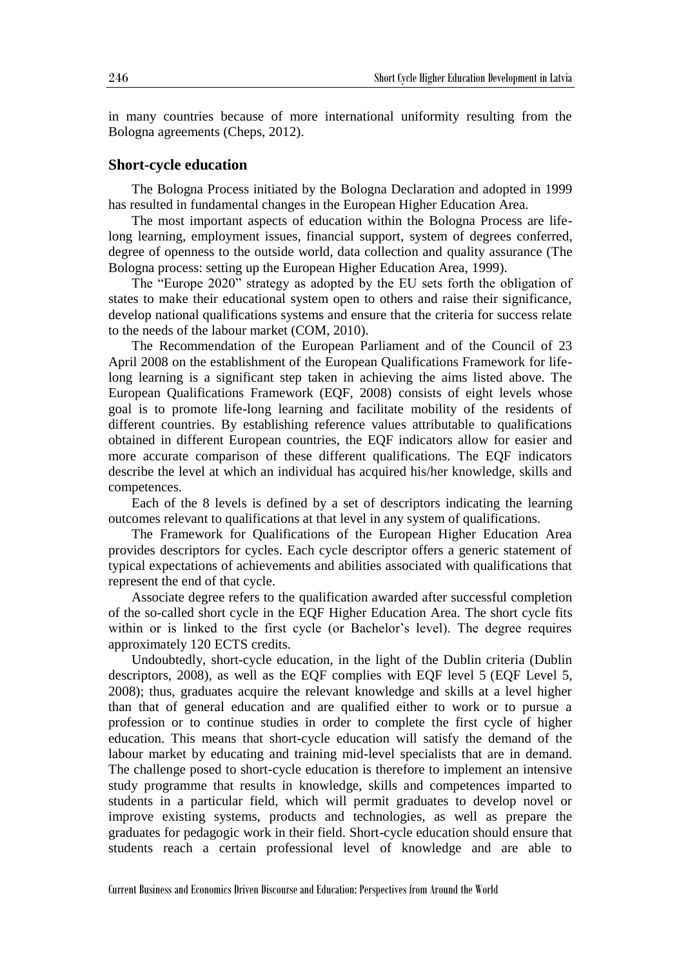in many countries because of more international uniformity resulting from the Bologna agreements (Cheps, 2012).

## **Short-cycle education**

The Bologna Process initiated by the Bologna Declaration and adopted in 1999 has resulted in fundamental changes in the European Higher Education Area.

The most important aspects of education within the Bologna Process are lifelong learning, employment issues, financial support, system of degrees conferred, degree of openness to the outside world, data collection and quality assurance (The Bologna process: setting up the European Higher Education Area, 1999).

The "Europe 2020" strategy as adopted by the EU sets forth the obligation of states to make their educational system open to others and raise their significance, develop national qualifications systems and ensure that the criteria for success relate to the needs of the labour market (COM, 2010).

The Recommendation of the European Parliament and of the Council of 23 April 2008 on the establishment of the European Qualifications Framework for lifelong learning is a significant step taken in achieving the aims listed above. The European Qualifications Framework (EQF, 2008) consists of eight levels whose goal is to promote life-long learning and facilitate mobility of the residents of different countries. By establishing reference values attributable to qualifications obtained in different European countries, the EQF indicators allow for easier and more accurate comparison of these different qualifications. The EQF indicators describe the level at which an individual has acquired his/her knowledge, skills and competences.

Each of the 8 levels is defined by a set of descriptors indicating the learning outcomes relevant to qualifications at that level in any system of qualifications.

The Framework for Qualifications of the European Higher Education Area provides descriptors for cycles. Each cycle descriptor offers a generic statement of typical expectations of achievements and abilities associated with qualifications that represent the end of that cycle.

Associate degree refers to the qualification awarded after successful completion of the so-called short cycle in the EQF Higher Education Area. The short cycle fits within or is linked to the first cycle (or Bachelor's level). The degree requires approximately 120 ECTS credits.

Undoubtedly, short-cycle education, in the light of the Dublin criteria (Dublin descriptors, 2008), as well as the EQF complies with EQF level 5 (EQF Level 5, 2008); thus, graduates acquire the relevant knowledge and skills at a level higher than that of general education and are qualified either to work or to pursue a profession or to continue studies in order to complete the first cycle of higher education. This means that short-cycle education will satisfy the demand of the labour market by educating and training mid-level specialists that are in demand. The challenge posed to short-cycle education is therefore to implement an intensive study programme that results in knowledge, skills and competences imparted to students in a particular field, which will permit graduates to develop novel or improve existing systems, products and technologies, as well as prepare the graduates for pedagogic work in their field. Short-cycle education should ensure that students reach a certain professional level of knowledge and are able to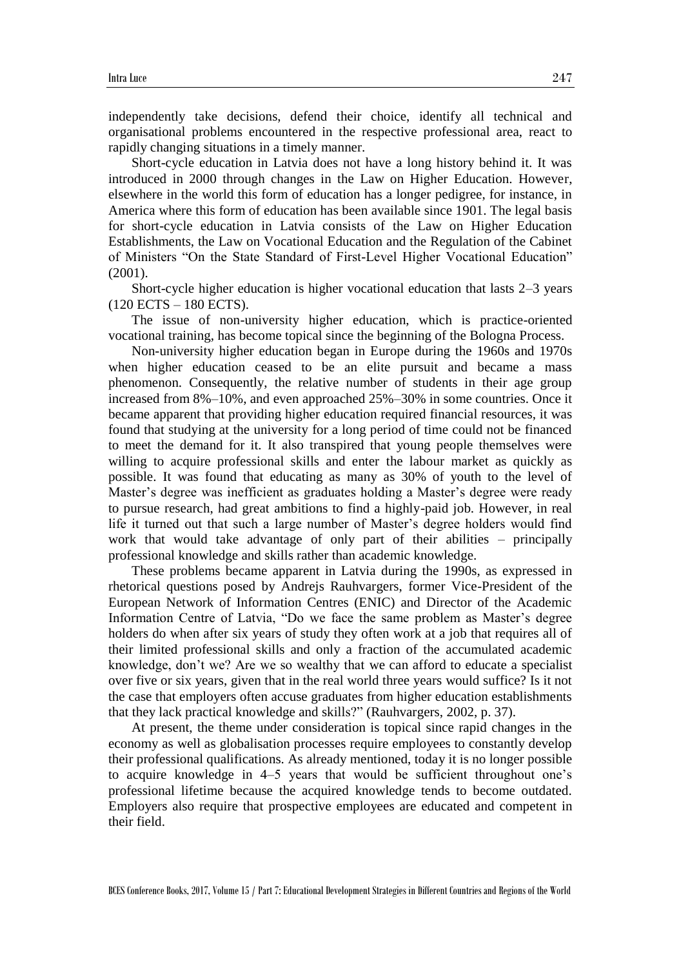independently take decisions, defend their choice, identify all technical and organisational problems encountered in the respective professional area, react to rapidly changing situations in a timely manner.

Short-cycle education in Latvia does not have a long history behind it. It was introduced in 2000 through changes in the Law on Higher Education. However, elsewhere in the world this form of education has a longer pedigree, for instance, in America where this form of education has been available since 1901. The legal basis for short-cycle education in Latvia consists of the Law on Higher Education Establishments, the Law on Vocational Education and the Regulation of the Cabinet of Ministers "On the State Standard of First-Level Higher Vocational Education" (2001).

Short-cycle higher education is higher vocational education that lasts 2–3 years (120 ECTS – 180 ECTS).

The issue of non-university higher education, which is practice-oriented vocational training, has become topical since the beginning of the Bologna Process.

Non-university higher education began in Europe during the 1960s and 1970s when higher education ceased to be an elite pursuit and became a mass phenomenon. Consequently, the relative number of students in their age group increased from 8%–10%, and even approached 25%–30% in some countries. Once it became apparent that providing higher education required financial resources, it was found that studying at the university for a long period of time could not be financed to meet the demand for it. It also transpired that young people themselves were willing to acquire professional skills and enter the labour market as quickly as possible. It was found that educating as many as 30% of youth to the level of Master's degree was inefficient as graduates holding a Master's degree were ready to pursue research, had great ambitions to find a highly-paid job. However, in real life it turned out that such a large number of Master's degree holders would find work that would take advantage of only part of their abilities – principally professional knowledge and skills rather than academic knowledge.

These problems became apparent in Latvia during the 1990s, as expressed in rhetorical questions posed by Andrejs Rauhvargers, former Vice-President of the European Network of Information Centres (ENIC) and Director of the Academic Information Centre of Latvia, "Do we face the same problem as Master's degree holders do when after six years of study they often work at a job that requires all of their limited professional skills and only a fraction of the accumulated academic knowledge, don't we? Are we so wealthy that we can afford to educate a specialist over five or six years, given that in the real world three years would suffice? Is it not the case that employers often accuse graduates from higher education establishments that they lack practical knowledge and skills?" (Rauhvargers, 2002, p. 37).

At present, the theme under consideration is topical since rapid changes in the economy as well as globalisation processes require employees to constantly develop their professional qualifications. As already mentioned, today it is no longer possible to acquire knowledge in 4–5 years that would be sufficient throughout one's professional lifetime because the acquired knowledge tends to become outdated. Employers also require that prospective employees are educated and competent in their field.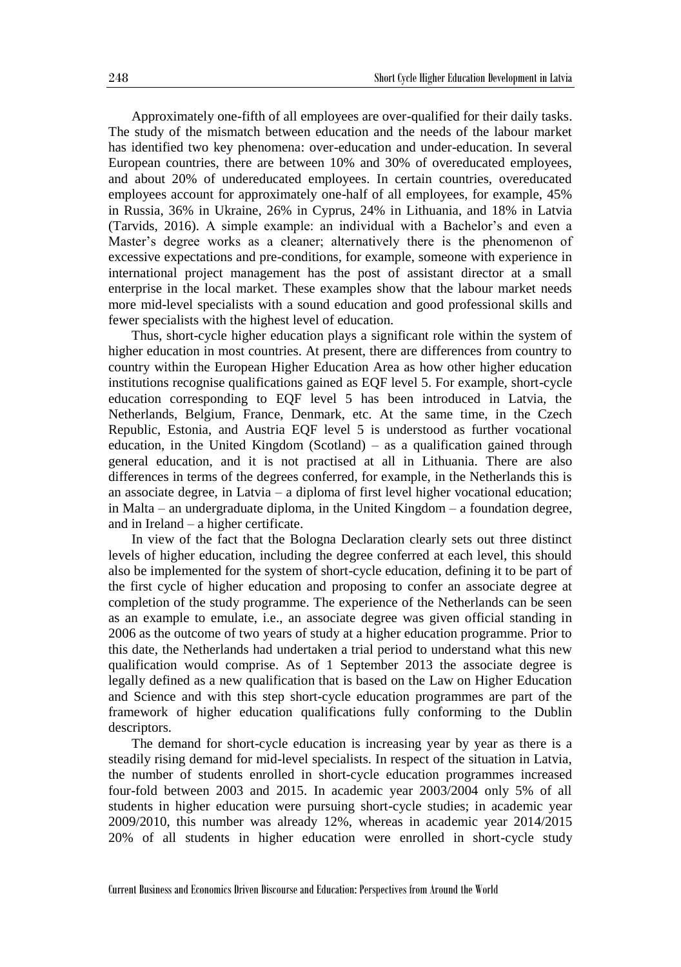Approximately one-fifth of all employees are over-qualified for their daily tasks. The study of the mismatch between education and the needs of the labour market has identified two key phenomena: over-education and under-education. In several European countries, there are between 10% and 30% of overeducated employees, and about 20% of undereducated employees. In certain countries, overeducated employees account for approximately one-half of all employees, for example, 45% in Russia, 36% in Ukraine, 26% in Cyprus, 24% in Lithuania, and 18% in Latvia (Tarvids, 2016). A simple example: an individual with a Bachelor's and even a Master's degree works as a cleaner; alternatively there is the phenomenon of excessive expectations and pre-conditions, for example, someone with experience in international project management has the post of assistant director at a small enterprise in the local market. These examples show that the labour market needs more mid-level specialists with a sound education and good professional skills and fewer specialists with the highest level of education.

Thus, short-cycle higher education plays a significant role within the system of higher education in most countries. At present, there are differences from country to country within the European Higher Education Area as how other higher education institutions recognise qualifications gained as EQF level 5. For example, short-cycle education corresponding to EQF level 5 has been introduced in Latvia, the Netherlands, Belgium, France, Denmark, etc. At the same time, in the Czech Republic, Estonia, and Austria EQF level 5 is understood as further vocational education, in the United Kingdom (Scotland) – as a qualification gained through general education, and it is not practised at all in Lithuania. There are also differences in terms of the degrees conferred, for example, in the Netherlands this is an associate degree, in Latvia – a diploma of first level higher vocational education; in Malta – an undergraduate diploma, in the United Kingdom – a foundation degree, and in Ireland – a higher certificate.

In view of the fact that the Bologna Declaration clearly sets out three distinct levels of higher education, including the degree conferred at each level, this should also be implemented for the system of short-cycle education, defining it to be part of the first cycle of higher education and proposing to confer an associate degree at completion of the study programme. The experience of the Netherlands can be seen as an example to emulate, i.e., an associate degree was given official standing in 2006 as the outcome of two years of study at a higher education programme. Prior to this date, the Netherlands had undertaken a trial period to understand what this new qualification would comprise. As of 1 September 2013 the associate degree is legally defined as a new qualification that is based on the Law on Higher Education and Science and with this step short-cycle education programmes are part of the framework of higher education qualifications fully conforming to the Dublin descriptors.

The demand for short-cycle education is increasing year by year as there is a steadily rising demand for mid-level specialists. In respect of the situation in Latvia, the number of students enrolled in short-cycle education programmes increased four-fold between 2003 and 2015. In academic year 2003/2004 only 5% of all students in higher education were pursuing short-cycle studies; in academic year 2009/2010, this number was already 12%, whereas in academic year 2014/2015 20% of all students in higher education were enrolled in short-cycle study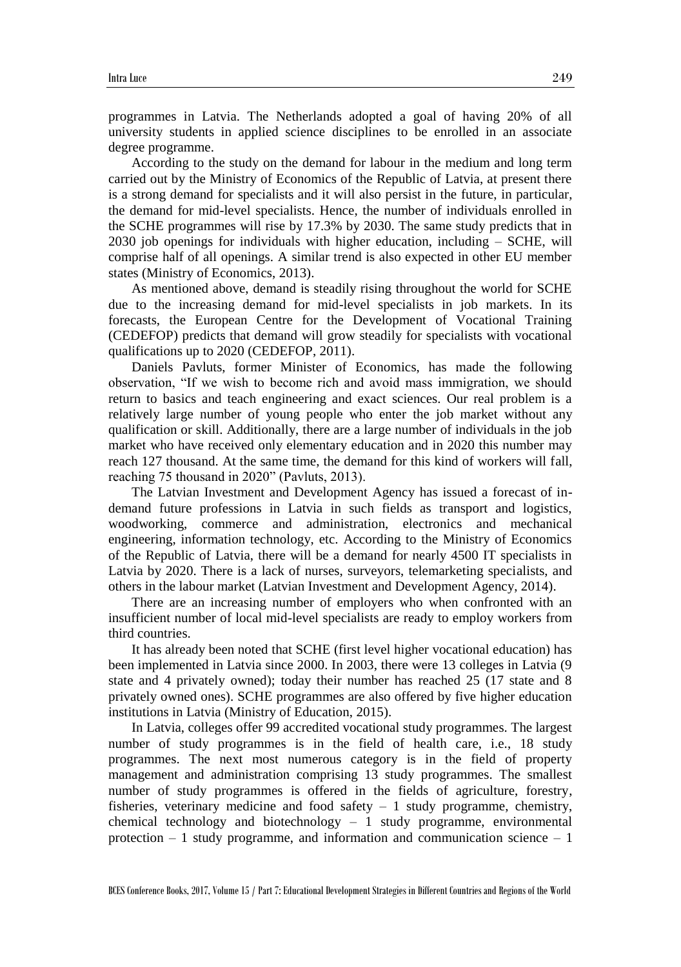programmes in Latvia. The Netherlands adopted a goal of having 20% of all university students in applied science disciplines to be enrolled in an associate degree programme.

According to the study on the demand for labour in the medium and long term carried out by the Ministry of Economics of the Republic of Latvia, at present there is a strong demand for specialists and it will also persist in the future, in particular, the demand for mid-level specialists. Hence, the number of individuals enrolled in the SCHE programmes will rise by 17.3% by 2030. The same study predicts that in 2030 job openings for individuals with higher education, including – SCHE, will comprise half of all openings. A similar trend is also expected in other EU member states (Ministry of Economics, 2013).

As mentioned above, demand is steadily rising throughout the world for SCHE due to the increasing demand for mid-level specialists in job markets. In its forecasts, the European Centre for the Development of Vocational Training (CEDEFOP) predicts that demand will grow steadily for specialists with vocational qualifications up to 2020 (CEDEFOP, 2011).

Daniels Pavluts, former Minister of Economics, has made the following observation, "If we wish to become rich and avoid mass immigration, we should return to basics and teach engineering and exact sciences. Our real problem is a relatively large number of young people who enter the job market without any qualification or skill. Additionally, there are a large number of individuals in the job market who have received only elementary education and in 2020 this number may reach 127 thousand. At the same time, the demand for this kind of workers will fall, reaching 75 thousand in 2020" (Pavluts, 2013).

The Latvian Investment and Development Agency has issued a forecast of indemand future professions in Latvia in such fields as transport and logistics, woodworking, commerce and administration, electronics and mechanical engineering, information technology, etc. According to the Ministry of Economics of the Republic of Latvia, there will be a demand for nearly 4500 IT specialists in Latvia by 2020. There is a lack of nurses, surveyors, telemarketing specialists, and others in the labour market (Latvian Investment and Development Agency, 2014).

There are an increasing number of employers who when confronted with an insufficient number of local mid-level specialists are ready to employ workers from third countries.

It has already been noted that SCHE (first level higher vocational education) has been implemented in Latvia since 2000. In 2003, there were 13 colleges in Latvia (9 state and 4 privately owned); today their number has reached 25 (17 state and 8 privately owned ones). SCHE programmes are also offered by five higher education institutions in Latvia (Ministry of Education, 2015).

In Latvia, colleges offer 99 accredited vocational study programmes. The largest number of study programmes is in the field of health care, i.e., 18 study programmes. The next most numerous category is in the field of property management and administration comprising 13 study programmes. The smallest number of study programmes is offered in the fields of agriculture, forestry, fisheries, veterinary medicine and food safety  $-1$  study programme, chemistry, chemical technology and biotechnology  $-1$  study programme, environmental protection  $-1$  study programme, and information and communication science  $-1$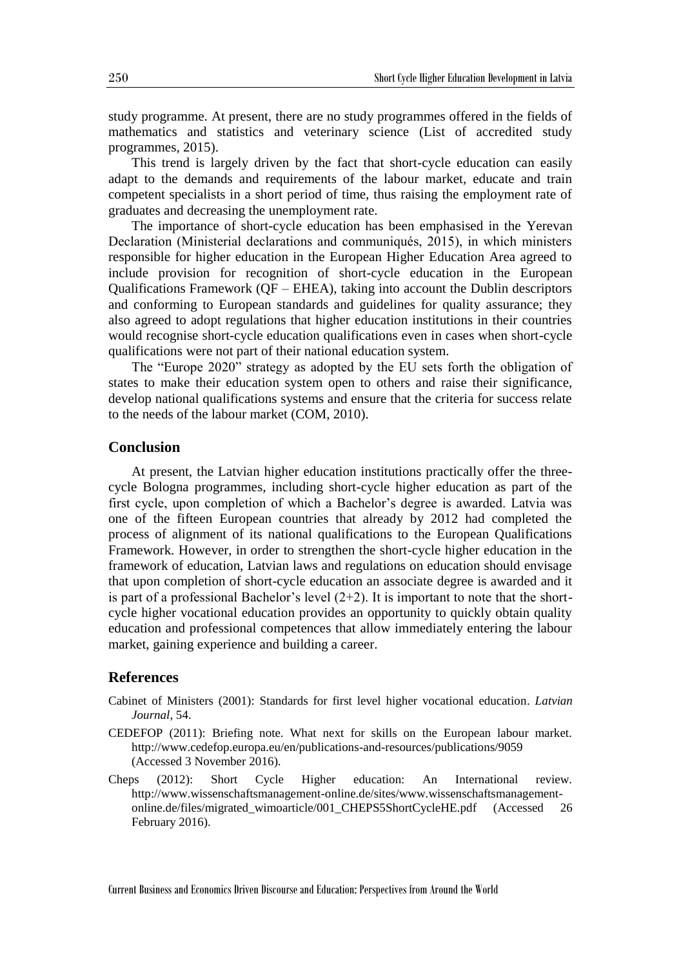study programme. At present, there are no study programmes offered in the fields of mathematics and statistics and veterinary science (List of accredited study programmes, 2015).

This trend is largely driven by the fact that short-cycle education can easily adapt to the demands and requirements of the labour market, educate and train competent specialists in a short period of time, thus raising the employment rate of graduates and decreasing the unemployment rate.

The importance of short-cycle education has been emphasised in the Yerevan Declaration (Ministerial declarations and communiqués, 2015), in which ministers responsible for higher education in the European Higher Education Area agreed to include provision for recognition of short-cycle education in the European Qualifications Framework (QF – EHEA), taking into account the Dublin descriptors and conforming to European standards and guidelines for quality assurance; they also agreed to adopt regulations that higher education institutions in their countries would recognise short-cycle education qualifications even in cases when short-cycle qualifications were not part of their national education system.

The "Europe 2020" strategy as adopted by the EU sets forth the obligation of states to make their education system open to others and raise their significance, develop national qualifications systems and ensure that the criteria for success relate to the needs of the labour market (COM, 2010).

### **Conclusion**

At present, the Latvian higher education institutions practically offer the threecycle Bologna programmes, including short-cycle higher education as part of the first cycle, upon completion of which a Bachelor's degree is awarded. Latvia was one of the fifteen European countries that already by 2012 had completed the process of alignment of its national qualifications to the European Qualifications Framework. However, in order to strengthen the short-cycle higher education in the framework of education, Latvian laws and regulations on education should envisage that upon completion of short-cycle education an associate degree is awarded and it is part of a professional Bachelor's level  $(2+2)$ . It is important to note that the shortcycle higher vocational education provides an opportunity to quickly obtain quality education and professional competences that allow immediately entering the labour market, gaining experience and building a career.

## **References**

- Cabinet of Ministers (2001): Standards for first level higher vocational education. *Latvian Journal*, 54.
- CEDEFOP (2011): Briefing note. What next for skills on the European labour market. http://www.cedefop.europa.eu/en/publications-and-resources/publications/9059 (Accessed 3 November 2016).
- Cheps (2012): Short Cycle Higher education: An International review. http://www.wissenschaftsmanagement-online.de/sites/www.wissenschaftsmanagementonline.de/files/migrated\_wimoarticle/001\_CHEPS5ShortCycleHE.pdf (Accessed 26 February 2016).

Current Business and Economics Driven Discourse and Education: Perspectives from Around the World